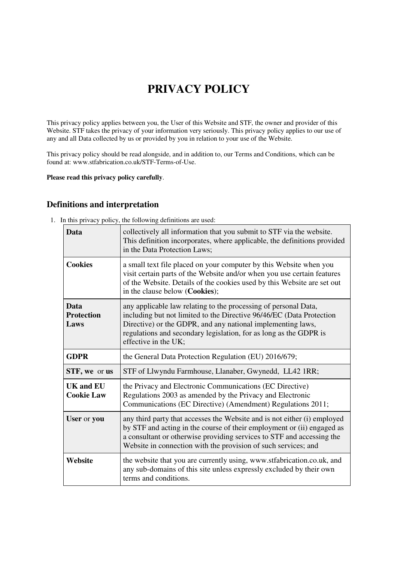# **PRIVACY POLICY**

This privacy policy applies between you, the User of this Website and STF, the owner and provider of this Website. STF takes the privacy of your information very seriously. This privacy policy applies to our use of any and all Data collected by us or provided by you in relation to your use of the Website.

This privacy policy should be read alongside, and in addition to, our Terms and Conditions, which can be found at: www.stfabrication.co.uk/STF-Terms-of-Use.

**Please read this privacy policy carefully**.

# **Definitions and interpretation**

1. In this privacy policy, the following definitions are used:

| <b>Data</b>                           | collectively all information that you submit to STF via the website.<br>This definition incorporates, where applicable, the definitions provided<br>in the Data Protection Laws;                                                                                                                    |
|---------------------------------------|-----------------------------------------------------------------------------------------------------------------------------------------------------------------------------------------------------------------------------------------------------------------------------------------------------|
| <b>Cookies</b>                        | a small text file placed on your computer by this Website when you<br>visit certain parts of the Website and/or when you use certain features<br>of the Website. Details of the cookies used by this Website are set out<br>in the clause below (Cookies);                                          |
| Data<br><b>Protection</b><br>Laws     | any applicable law relating to the processing of personal Data,<br>including but not limited to the Directive 96/46/EC (Data Protection<br>Directive) or the GDPR, and any national implementing laws,<br>regulations and secondary legislation, for as long as the GDPR is<br>effective in the UK; |
| <b>GDPR</b>                           | the General Data Protection Regulation (EU) 2016/679;                                                                                                                                                                                                                                               |
| STF, we or us                         | STF of Llwyndu Farmhouse, Llanaber, Gwynedd, LL42 1RR;                                                                                                                                                                                                                                              |
| <b>UK and EU</b><br><b>Cookie Law</b> | the Privacy and Electronic Communications (EC Directive)<br>Regulations 2003 as amended by the Privacy and Electronic<br>Communications (EC Directive) (Amendment) Regulations 2011;                                                                                                                |
| User or you                           | any third party that accesses the Website and is not either (i) employed<br>by STF and acting in the course of their employment or (ii) engaged as<br>a consultant or otherwise providing services to STF and accessing the<br>Website in connection with the provision of such services; and       |
| Website                               | the website that you are currently using, www.stfabrication.co.uk, and<br>any sub-domains of this site unless expressly excluded by their own<br>terms and conditions.                                                                                                                              |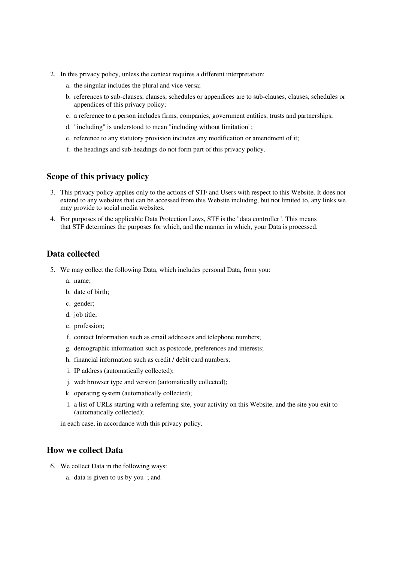- 2. In this privacy policy, unless the context requires a different interpretation:
	- a. the singular includes the plural and vice versa;
	- b. references to sub-clauses, clauses, schedules or appendices are to sub-clauses, clauses, schedules or appendices of this privacy policy;
	- c. a reference to a person includes firms, companies, government entities, trusts and partnerships;
	- d. "including" is understood to mean "including without limitation";
	- e. reference to any statutory provision includes any modification or amendment of it;
	- f. the headings and sub-headings do not form part of this privacy policy.

# **Scope of this privacy policy**

- 3. This privacy policy applies only to the actions of STF and Users with respect to this Website. It does not extend to any websites that can be accessed from this Website including, but not limited to, any links we may provide to social media websites.
- 4. For purposes of the applicable Data Protection Laws, STF is the "data controller". This means that STF determines the purposes for which, and the manner in which, your Data is processed.

## **Data collected**

- 5. We may collect the following Data, which includes personal Data, from you:
	- a. name;
	- b. date of birth;
	- c. gender;
	- d. job title;
	- e. profession;
	- f. contact Information such as email addresses and telephone numbers;
	- g. demographic information such as postcode, preferences and interests;
	- h. financial information such as credit / debit card numbers;
	- i. IP address (automatically collected);
	- j. web browser type and version (automatically collected);
	- k. operating system (automatically collected);
	- l. a list of URLs starting with a referring site, your activity on this Website, and the site you exit to (automatically collected);

in each case, in accordance with this privacy policy.

## **How we collect Data**

- 6. We collect Data in the following ways:
	- a. data is given to us by you ; and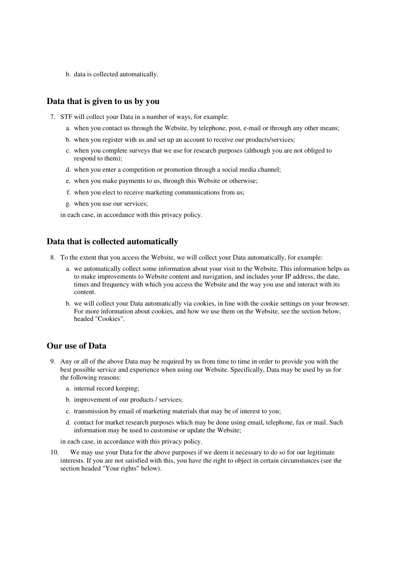b. data is collected automatically.

#### **Data that is given to us by you**

- 7. STF will collect your Data in a number of ways, for example:
	- a. when you contact us through the Website, by telephone, post, e-mail or through any other means;
	- b. when you register with us and set up an account to receive our products/services;
	- c. when you complete surveys that we use for research purposes (although you are not obliged to respond to them);
	- d. when you enter a competition or promotion through a social media channel;
	- e. when you make payments to us, through this Website or otherwise;
	- f. when you elect to receive marketing communications from us;
	- g. when you use our services;

in each case, in accordance with this privacy policy.

#### **Data that is collected automatically**

- 8. To the extent that you access the Website, we will collect your Data automatically, for example:
	- a. we automatically collect some information about your visit to the Website. This information helps us to make improvements to Website content and navigation, and includes your IP address, the date, times and frequency with which you access the Website and the way you use and interact with its content.
	- b. we will collect your Data automatically via cookies, in line with the cookie settings on your browser. For more information about cookies, and how we use them on the Website, see the section below, headed "Cookies".

## **Our use of Data**

- 9. Any or all of the above Data may be required by us from time to time in order to provide you with the best possible service and experience when using our Website. Specifically, Data may be used by us for the following reasons:
	- a. internal record keeping;
	- b. improvement of our products / services;
	- c. transmission by email of marketing materials that may be of interest to you;
	- d. contact for market research purposes which may be done using email, telephone, fax or mail. Such information may be used to customise or update the Website;

in each case, in accordance with this privacy policy.

10. We may use your Data for the above purposes if we deem it necessary to do so for our legitimate interests. If you are not satisfied with this, you have the right to object in certain circumstances (see the section headed "Your rights" below).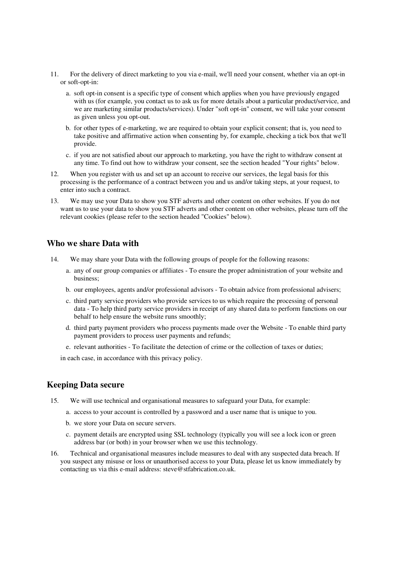- 11. For the delivery of direct marketing to you via e-mail, we'll need your consent, whether via an opt-in or soft-opt-in:
	- a. soft opt-in consent is a specific type of consent which applies when you have previously engaged with us (for example, you contact us to ask us for more details about a particular product/service, and we are marketing similar products/services). Under "soft opt-in" consent, we will take your consent as given unless you opt-out.
	- b. for other types of e-marketing, we are required to obtain your explicit consent; that is, you need to take positive and affirmative action when consenting by, for example, checking a tick box that we'll provide.
	- c. if you are not satisfied about our approach to marketing, you have the right to withdraw consent at any time. To find out how to withdraw your consent, see the section headed "Your rights" below.
- 12. When you register with us and set up an account to receive our services, the legal basis for this processing is the performance of a contract between you and us and/or taking steps, at your request, to enter into such a contract.
- 13. We may use your Data to show you STF adverts and other content on other websites. If you do not want us to use your data to show you STF adverts and other content on other websites, please turn off the relevant cookies (please refer to the section headed "Cookies" below).

#### **Who we share Data with**

- 14. We may share your Data with the following groups of people for the following reasons:
	- a. any of our group companies or affiliates To ensure the proper administration of your website and business;
	- b. our employees, agents and/or professional advisors To obtain advice from professional advisers;
	- c. third party service providers who provide services to us which require the processing of personal data - To help third party service providers in receipt of any shared data to perform functions on our behalf to help ensure the website runs smoothly;
	- d. third party payment providers who process payments made over the Website To enable third party payment providers to process user payments and refunds;
	- e. relevant authorities To facilitate the detection of crime or the collection of taxes or duties;

in each case, in accordance with this privacy policy.

## **Keeping Data secure**

- 15. We will use technical and organisational measures to safeguard your Data, for example:
	- a. access to your account is controlled by a password and a user name that is unique to you.
	- b. we store your Data on secure servers.
	- c. payment details are encrypted using SSL technology (typically you will see a lock icon or green address bar (or both) in your browser when we use this technology.
- 16. Technical and organisational measures include measures to deal with any suspected data breach. If you suspect any misuse or loss or unauthorised access to your Data, please let us know immediately by contacting us via this e-mail address: steve@stfabrication.co.uk.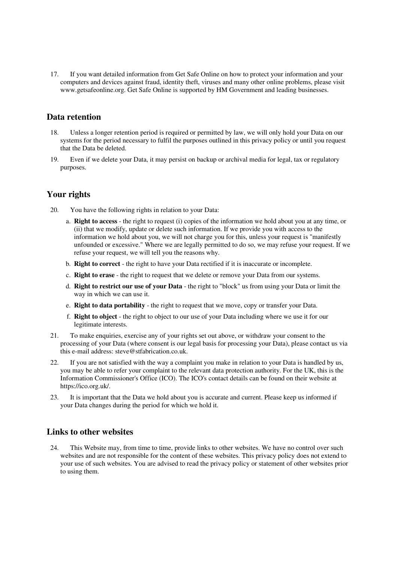17. If you want detailed information from Get Safe Online on how to protect your information and your computers and devices against fraud, identity theft, viruses and many other online problems, please visit www.getsafeonline.org. Get Safe Online is supported by HM Government and leading businesses.

# **Data retention**

- 18. Unless a longer retention period is required or permitted by law, we will only hold your Data on our systems for the period necessary to fulfil the purposes outlined in this privacy policy or until you request that the Data be deleted.
- 19. Even if we delete your Data, it may persist on backup or archival media for legal, tax or regulatory purposes.

# **Your rights**

- 20. You have the following rights in relation to your Data:
	- a. **Right to access** the right to request (i) copies of the information we hold about you at any time, or (ii) that we modify, update or delete such information. If we provide you with access to the information we hold about you, we will not charge you for this, unless your request is "manifestly unfounded or excessive." Where we are legally permitted to do so, we may refuse your request. If we refuse your request, we will tell you the reasons why.
	- b. **Right to correct** the right to have your Data rectified if it is inaccurate or incomplete.
	- c. **Right to erase** the right to request that we delete or remove your Data from our systems.
	- d. **Right to restrict our use of your Data** the right to "block" us from using your Data or limit the way in which we can use it.
	- e. **Right to data portability** the right to request that we move, copy or transfer your Data.
	- f. **Right to object** the right to object to our use of your Data including where we use it for our legitimate interests.
- 21. To make enquiries, exercise any of your rights set out above, or withdraw your consent to the processing of your Data (where consent is our legal basis for processing your Data), please contact us via this e-mail address: steve@stfabrication.co.uk.
- 22. If you are not satisfied with the way a complaint you make in relation to your Data is handled by us, you may be able to refer your complaint to the relevant data protection authority. For the UK, this is the Information Commissioner's Office (ICO). The ICO's contact details can be found on their website at https://ico.org.uk/.
- 23. It is important that the Data we hold about you is accurate and current. Please keep us informed if your Data changes during the period for which we hold it.

## **Links to other websites**

24. This Website may, from time to time, provide links to other websites. We have no control over such websites and are not responsible for the content of these websites. This privacy policy does not extend to your use of such websites. You are advised to read the privacy policy or statement of other websites prior to using them.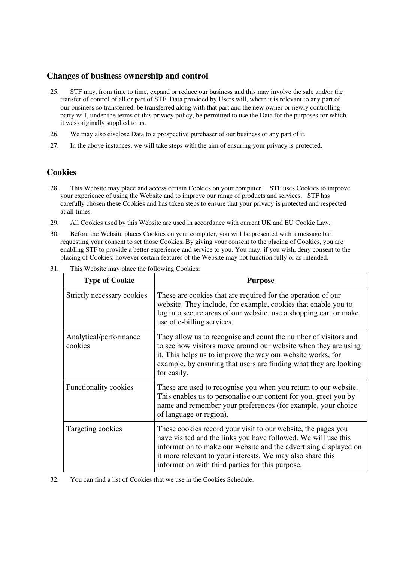# **Changes of business ownership and control**

- 25. STF may, from time to time, expand or reduce our business and this may involve the sale and/or the transfer of control of all or part of STF. Data provided by Users will, where it is relevant to any part of our business so transferred, be transferred along with that part and the new owner or newly controlling party will, under the terms of this privacy policy, be permitted to use the Data for the purposes for which it was originally supplied to us.
- 26. We may also disclose Data to a prospective purchaser of our business or any part of it.
- 27. In the above instances, we will take steps with the aim of ensuring your privacy is protected.

# **Cookies**

- 28. This Website may place and access certain Cookies on your computer. STF uses Cookies to improve your experience of using the Website and to improve our range of products and services. STF has carefully chosen these Cookies and has taken steps to ensure that your privacy is protected and respected at all times.
- 29. All Cookies used by this Website are used in accordance with current UK and EU Cookie Law.
- 30. Before the Website places Cookies on your computer, you will be presented with a message bar requesting your consent to set those Cookies. By giving your consent to the placing of Cookies, you are enabling STF to provide a better experience and service to you. You may, if you wish, deny consent to the placing of Cookies; however certain features of the Website may not function fully or as intended.

| <b>Type of Cookie</b>             | <b>Purpose</b>                                                                                                                                                                                                                                                                                                        |
|-----------------------------------|-----------------------------------------------------------------------------------------------------------------------------------------------------------------------------------------------------------------------------------------------------------------------------------------------------------------------|
| Strictly necessary cookies        | These are cookies that are required for the operation of our<br>website. They include, for example, cookies that enable you to<br>log into secure areas of our website, use a shopping cart or make<br>use of e-billing services.                                                                                     |
| Analytical/performance<br>cookies | They allow us to recognise and count the number of visitors and<br>to see how visitors move around our website when they are using<br>it. This helps us to improve the way our website works, for<br>example, by ensuring that users are finding what they are looking<br>for easily.                                 |
| Functionality cookies             | These are used to recognise you when you return to our website.<br>This enables us to personalise our content for you, greet you by<br>name and remember your preferences (for example, your choice<br>of language or region).                                                                                        |
| Targeting cookies                 | These cookies record your visit to our website, the pages you<br>have visited and the links you have followed. We will use this<br>information to make our website and the advertising displayed on<br>it more relevant to your interests. We may also share this<br>information with third parties for this purpose. |

31. This Website may place the following Cookies:

32. You can find a list of Cookies that we use in the Cookies Schedule.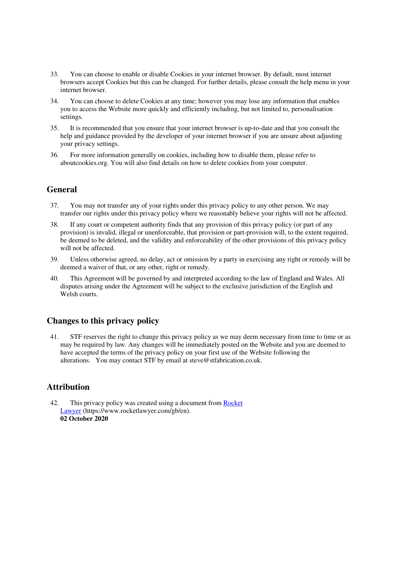- 33. You can choose to enable or disable Cookies in your internet browser. By default, most internet browsers accept Cookies but this can be changed. For further details, please consult the help menu in your internet browser.
- 34. You can choose to delete Cookies at any time; however you may lose any information that enables you to access the Website more quickly and efficiently including, but not limited to, personalisation settings.
- 35. It is recommended that you ensure that your internet browser is up-to-date and that you consult the help and guidance provided by the developer of your internet browser if you are unsure about adjusting your privacy settings.
- 36. For more information generally on cookies, including how to disable them, please refer to aboutcookies.org. You will also find details on how to delete cookies from your computer.

# **General**

- 37. You may not transfer any of your rights under this privacy policy to any other person. We may transfer our rights under this privacy policy where we reasonably believe your rights will not be affected.
- 38. If any court or competent authority finds that any provision of this privacy policy (or part of any provision) is invalid, illegal or unenforceable, that provision or part-provision will, to the extent required, be deemed to be deleted, and the validity and enforceability of the other provisions of this privacy policy will not be affected.
- 39. Unless otherwise agreed, no delay, act or omission by a party in exercising any right or remedy will be deemed a waiver of that, or any other, right or remedy.
- 40. This Agreement will be governed by and interpreted according to the law of England and Wales. All disputes arising under the Agreement will be subject to the exclusive jurisdiction of the English and Welsh courts.

## **Changes to this privacy policy**

41. STF reserves the right to change this privacy policy as we may deem necessary from time to time or as may be required by law. Any changes will be immediately posted on the Website and you are deemed to have accepted the terms of the privacy policy on your first use of the Website following the alterations. You may contact STF by email at steve@stfabrication.co.uk.

# **Attribution**

42. This privacy policy was created using a document from Rocket Lawyer (https://www.rocketlawyer.com/gb/en). **02 October 2020**